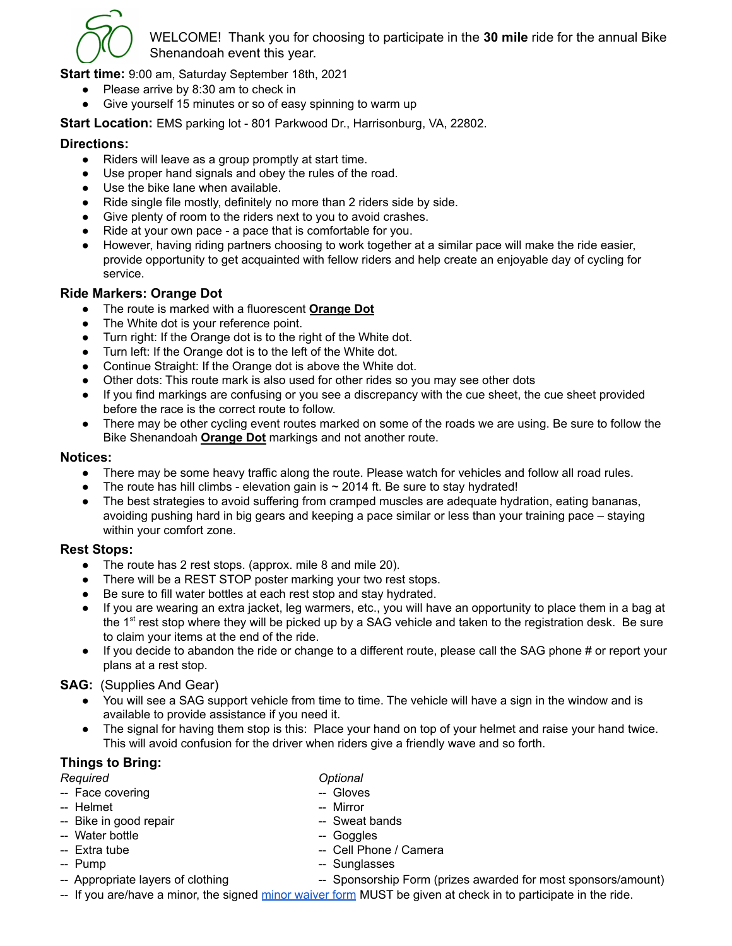

WELCOME! Thank you for choosing to participate in the **30 mile** ride for the annual Bike Shenandoah event this year.

**Start time:** 9:00 am, Saturday September 18th, 2021

- Please arrive by 8:30 am to check in
- Give yourself 15 minutes or so of easy spinning to warm up

**Start Location:** EMS parking lot - 801 Parkwood Dr., Harrisonburg, VA, 22802.

### **Directions:**

- Riders will leave as a group promptly at start time.
- Use proper hand signals and obey the rules of the road.
- Use the bike lane when available.
- Ride single file mostly, definitely no more than 2 riders side by side.
- Give plenty of room to the riders next to you to avoid crashes.
- Ride at your own pace a pace that is comfortable for you.
- However, having riding partners choosing to work together at a similar pace will make the ride easier, provide opportunity to get acquainted with fellow riders and help create an enjoyable day of cycling for service.

#### **Ride Markers: Orange Dot**

- The route is marked with a fluorescent **Orange Dot**
- The White dot is your reference point.
- Turn right: If the Orange dot is to the right of the White dot.
- Turn left: If the Orange dot is to the left of the White dot.
- Continue Straight: If the Orange dot is above the White dot.
- Other dots: This route mark is also used for other rides so you may see other dots
- If you find markings are confusing or you see a discrepancy with the cue sheet, the cue sheet provided before the race is the correct route to follow.
- There may be other cycling event routes marked on some of the roads we are using. Be sure to follow the Bike Shenandoah **Orange Dot** markings and not another route.

#### **Notices:**

- There may be some heavy traffic along the route. Please watch for vehicles and follow all road rules.
- The route has hill climbs elevation gain is  $\sim$  2014 ft. Be sure to stay hydrated!
- The best strategies to avoid suffering from cramped muscles are adequate hydration, eating bananas, avoiding pushing hard in big gears and keeping a pace similar or less than your training pace – staying within your comfort zone.

#### **Rest Stops:**

- The route has 2 rest stops. (approx. mile 8 and mile 20).
- There will be a REST STOP poster marking your two rest stops.
- Be sure to fill water bottles at each rest stop and stay hydrated.
- If you are wearing an extra jacket, leg warmers, etc., you will have an opportunity to place them in a bag at the 1<sup>st</sup> rest stop where they will be picked up by a SAG vehicle and taken to the registration desk. Be sure to claim your items at the end of the ride.
- If you decide to abandon the ride or change to a different route, please call the SAG phone # or report your plans at a rest stop.

#### **SAG:** (Supplies And Gear)

- You will see a SAG support vehicle from time to time. The vehicle will have a sign in the window and is available to provide assistance if you need it.
- The signal for having them stop is this: Place your hand on top of your helmet and raise your hand twice. This will avoid confusion for the driver when riders give a friendly wave and so forth.

# **Things to Bring:**

 $Required$ 

- -- Face covering contact the state of the Gloves
- -- Helmet -- Mirror
- -- Bike in good repair -- Sweat bands
- -- Water bottle  $\overline{\phantom{a}}$  -- Goggles
- -- Extra tube -- Cell Phone / Camera
- -- Pump -- Sunglasses
- 
- -- Appropriate layers of clothing -- Sponsorship Form (prizes awarded for most sponsors/amount)
- -- If you are/have a minor, the signed minor [waiver](https://docs.google.com/document/d/1N5EoNjJ2Q9_5sAQQ_lSkv669nKkVfLzRUamo7laqKsE/edit?usp=sharing) form MUST be given at check in to participate in the ride.

| Optional |
|----------|
|----------|

- 
- 
- 
-